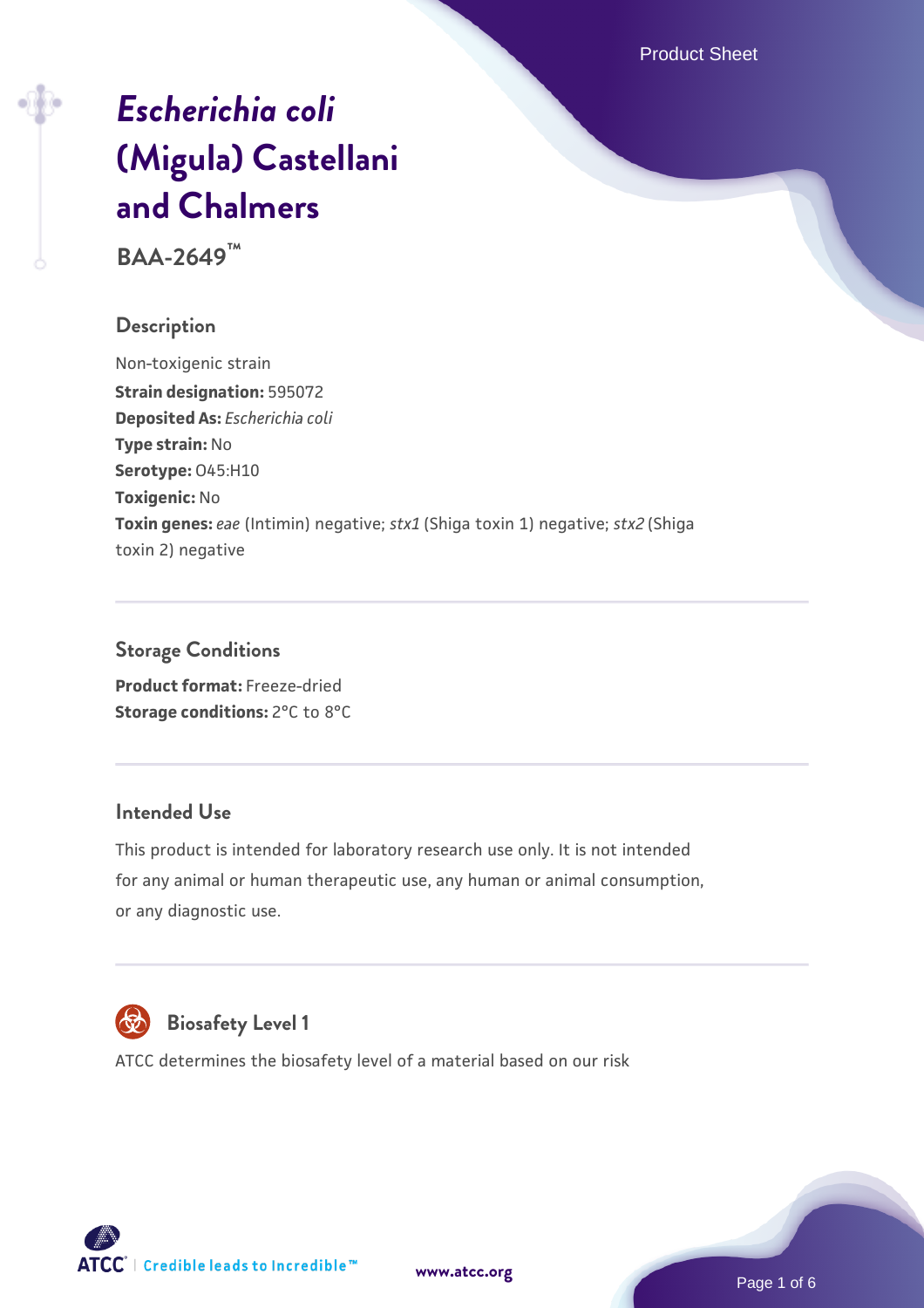Product Sheet

# *[Escherichia coli](https://www.atcc.org/products/baa-2649)* **[\(Migula\) Castellani](https://www.atcc.org/products/baa-2649) [and Chalmers](https://www.atcc.org/products/baa-2649)**

**BAA-2649™**

# **Description**

Non-toxigenic strain **Strain designation:** 595072 **Deposited As:** *Escherichia coli* **Type strain:** No **Serotype:** O45:H10 **Toxigenic:** No **Toxin genes:** *eae* (Intimin) negative; *stx1* (Shiga toxin 1) negative; *stx2* (Shiga toxin 2) negative

# **Storage Conditions**

**Product format:** Freeze-dried **Storage conditions: 2°C to 8°C** 

# **Intended Use**

This product is intended for laboratory research use only. It is not intended for any animal or human therapeutic use, any human or animal consumption, or any diagnostic use.



# **Biosafety Level 1**

ATCC determines the biosafety level of a material based on our risk



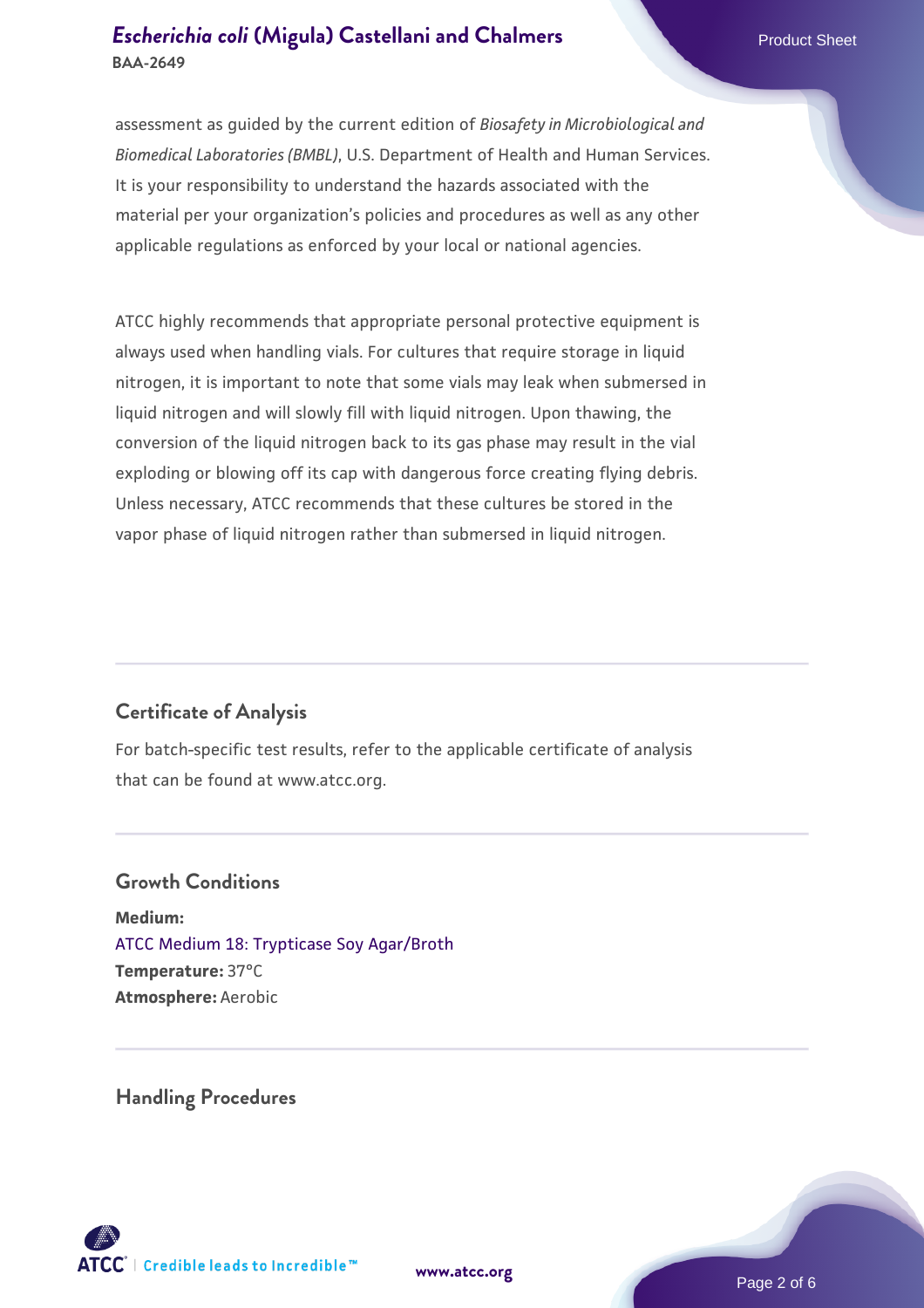assessment as guided by the current edition of *Biosafety in Microbiological and Biomedical Laboratories (BMBL)*, U.S. Department of Health and Human Services. It is your responsibility to understand the hazards associated with the material per your organization's policies and procedures as well as any other applicable regulations as enforced by your local or national agencies.

ATCC highly recommends that appropriate personal protective equipment is always used when handling vials. For cultures that require storage in liquid nitrogen, it is important to note that some vials may leak when submersed in liquid nitrogen and will slowly fill with liquid nitrogen. Upon thawing, the conversion of the liquid nitrogen back to its gas phase may result in the vial exploding or blowing off its cap with dangerous force creating flying debris. Unless necessary, ATCC recommends that these cultures be stored in the vapor phase of liquid nitrogen rather than submersed in liquid nitrogen.

# **Certificate of Analysis**

For batch-specific test results, refer to the applicable certificate of analysis that can be found at www.atcc.org.

#### **Growth Conditions**

**Medium:**  [ATCC Medium 18: Trypticase Soy Agar/Broth](https://www.atcc.org/-/media/product-assets/documents/microbial-media-formulations/1/8/atcc-medium-18.pdf?rev=832846e1425841f19fc70569848edae7) **Temperature:** 37°C **Atmosphere:** Aerobic

**Handling Procedures**



**[www.atcc.org](http://www.atcc.org)**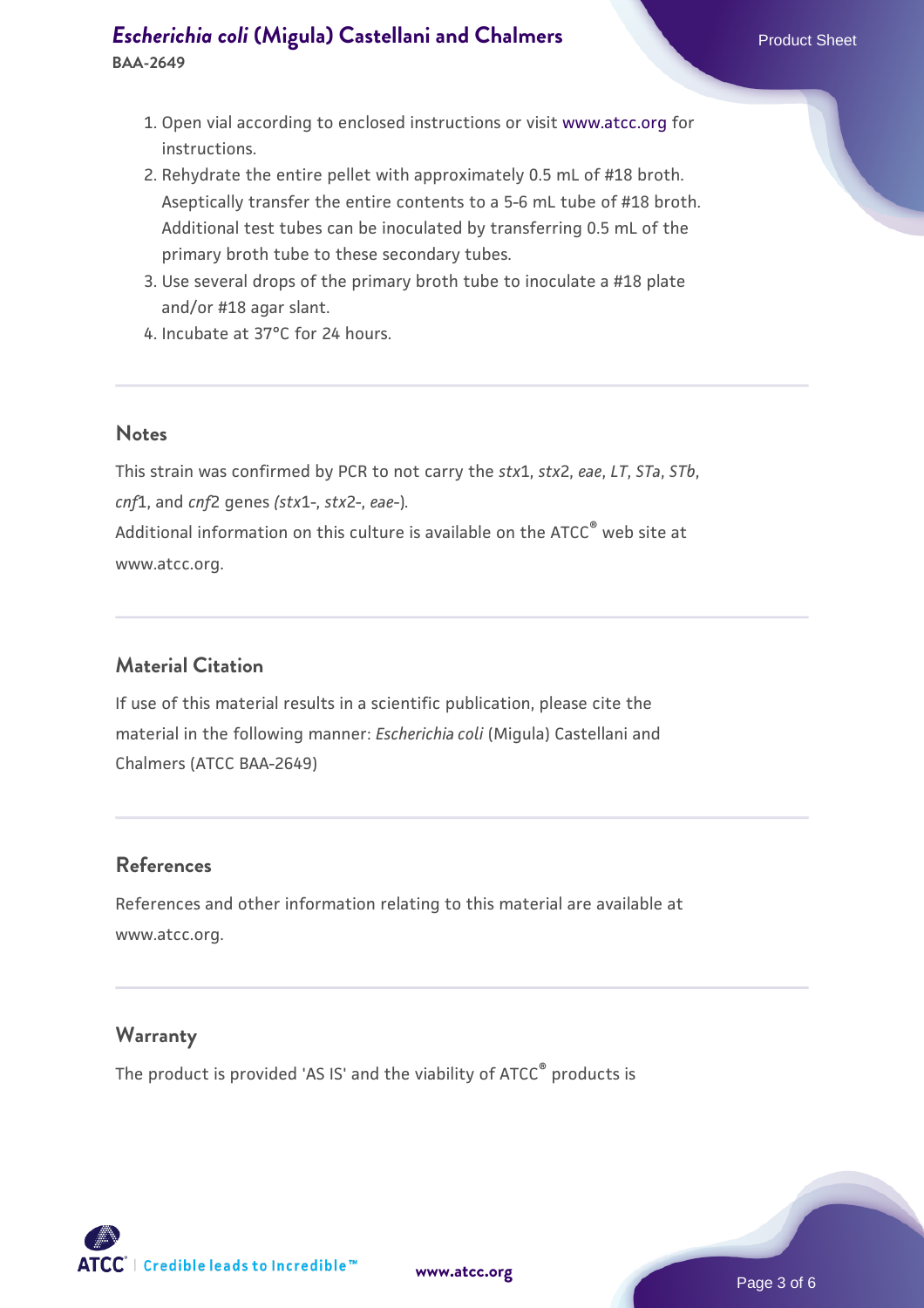- 1. Open vial according to enclosed instructions or visit [www.atcc.org](http://www.atcc.org/) for instructions.
- 2. Rehydrate the entire pellet with approximately 0.5 mL of #18 broth. Aseptically transfer the entire contents to a 5-6 mL tube of #18 broth. Additional test tubes can be inoculated by transferring 0.5 mL of the primary broth tube to these secondary tubes.
- 3. Use several drops of the primary broth tube to inoculate a #18 plate and/or #18 agar slant.
- 4. Incubate at 37°C for 24 hours.

## **Notes**

This strain was confirmed by PCR to not carry the *stx*1, *stx*2, *eae*, *LT*, *STa*, *STb*, *cnf*1, and *cnf*2 genes *(stx*1-, *stx*2-, *eae*-)*.* Additional information on this culture is available on the ATCC<sup>®</sup> web site at www.atcc.org.

# **Material Citation**

If use of this material results in a scientific publication, please cite the material in the following manner: *Escherichia coli* (Migula) Castellani and Chalmers (ATCC BAA-2649)

# **References**

References and other information relating to this material are available at www.atcc.org.

# **Warranty**

The product is provided 'AS IS' and the viability of ATCC® products is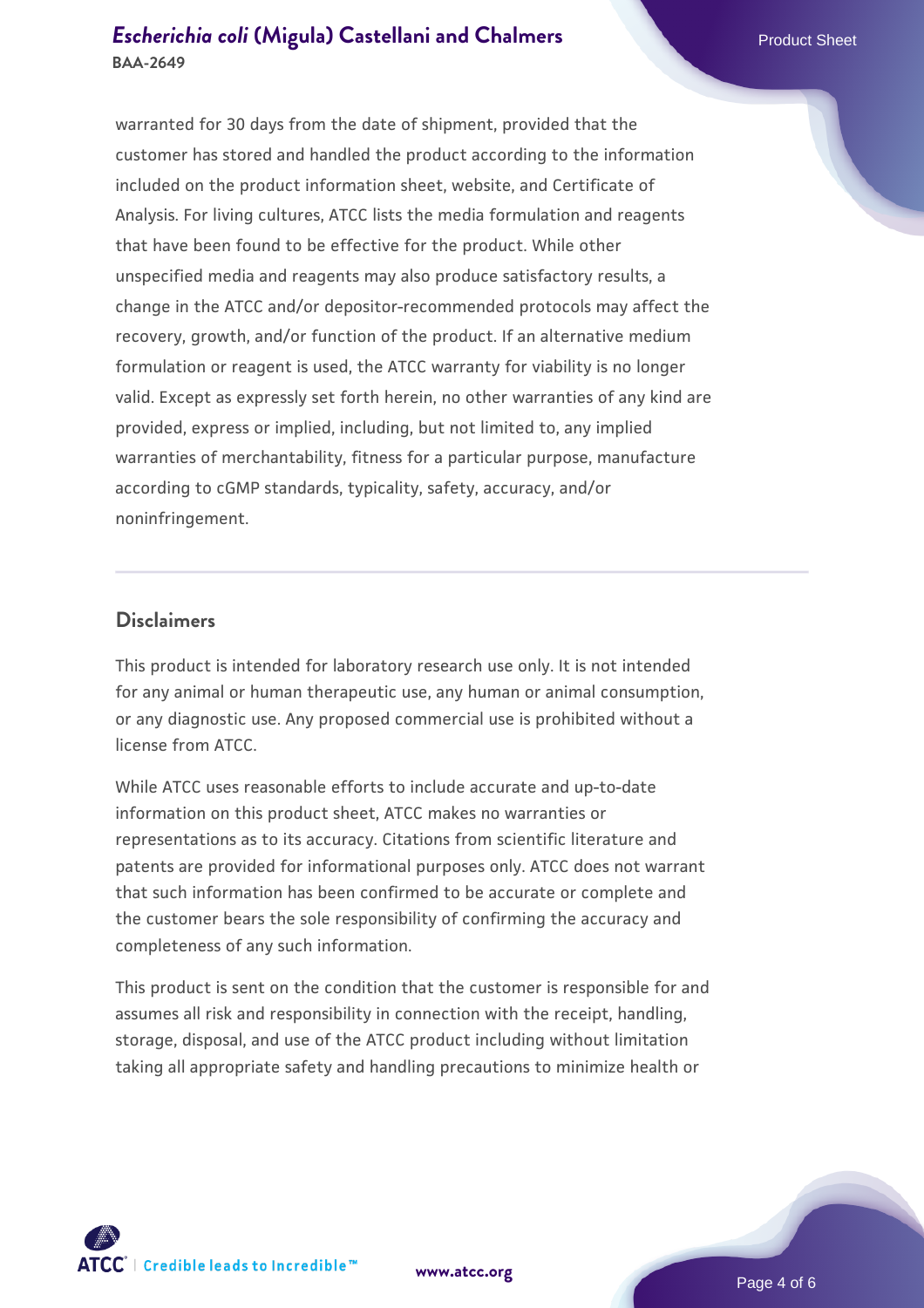warranted for 30 days from the date of shipment, provided that the customer has stored and handled the product according to the information included on the product information sheet, website, and Certificate of Analysis. For living cultures, ATCC lists the media formulation and reagents that have been found to be effective for the product. While other unspecified media and reagents may also produce satisfactory results, a change in the ATCC and/or depositor-recommended protocols may affect the recovery, growth, and/or function of the product. If an alternative medium formulation or reagent is used, the ATCC warranty for viability is no longer valid. Except as expressly set forth herein, no other warranties of any kind are provided, express or implied, including, but not limited to, any implied warranties of merchantability, fitness for a particular purpose, manufacture according to cGMP standards, typicality, safety, accuracy, and/or noninfringement.

#### **Disclaimers**

This product is intended for laboratory research use only. It is not intended for any animal or human therapeutic use, any human or animal consumption, or any diagnostic use. Any proposed commercial use is prohibited without a license from ATCC.

While ATCC uses reasonable efforts to include accurate and up-to-date information on this product sheet, ATCC makes no warranties or representations as to its accuracy. Citations from scientific literature and patents are provided for informational purposes only. ATCC does not warrant that such information has been confirmed to be accurate or complete and the customer bears the sole responsibility of confirming the accuracy and completeness of any such information.

This product is sent on the condition that the customer is responsible for and assumes all risk and responsibility in connection with the receipt, handling, storage, disposal, and use of the ATCC product including without limitation taking all appropriate safety and handling precautions to minimize health or



**[www.atcc.org](http://www.atcc.org)**

Page 4 of 6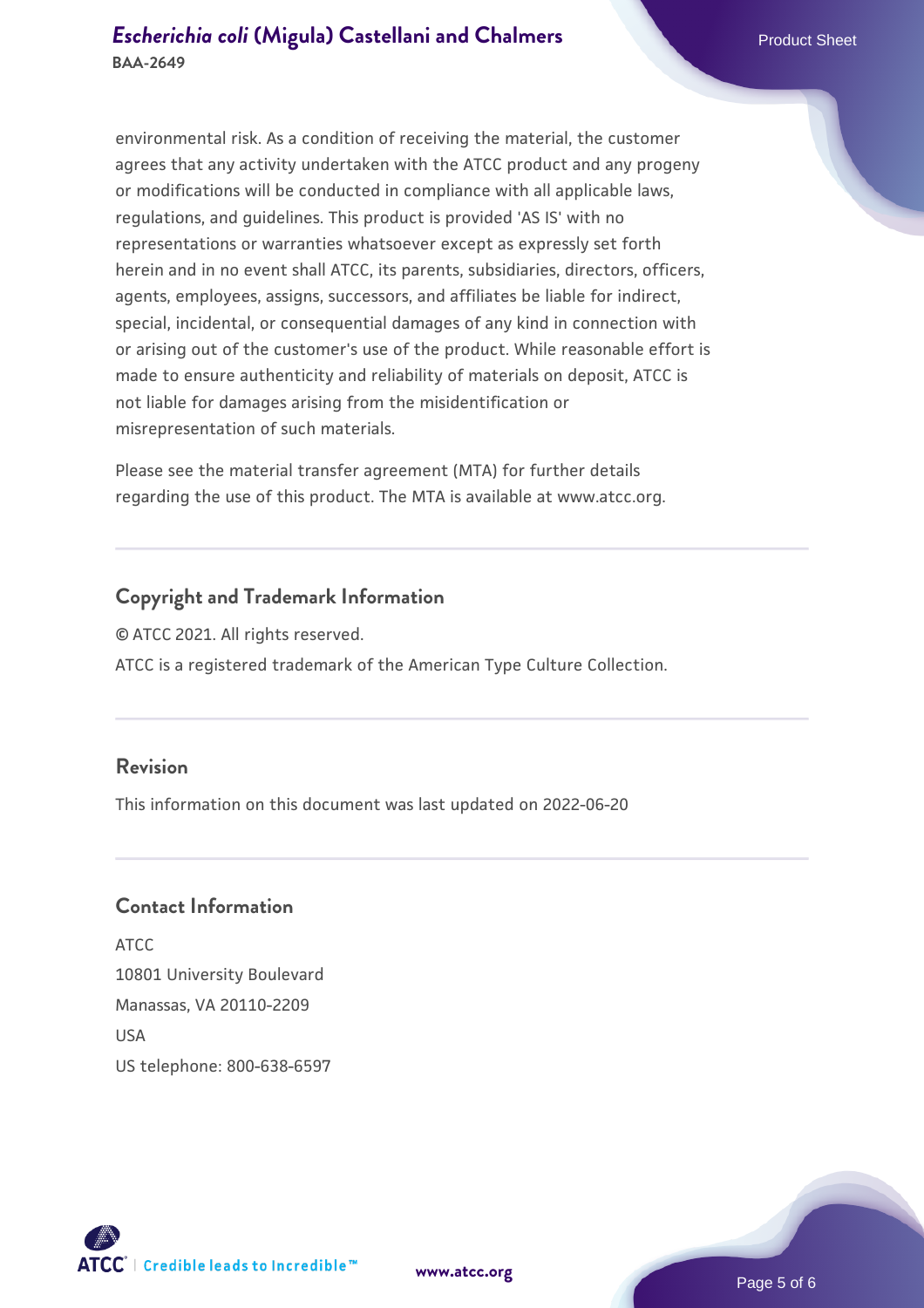environmental risk. As a condition of receiving the material, the customer agrees that any activity undertaken with the ATCC product and any progeny or modifications will be conducted in compliance with all applicable laws, regulations, and guidelines. This product is provided 'AS IS' with no representations or warranties whatsoever except as expressly set forth herein and in no event shall ATCC, its parents, subsidiaries, directors, officers, agents, employees, assigns, successors, and affiliates be liable for indirect, special, incidental, or consequential damages of any kind in connection with or arising out of the customer's use of the product. While reasonable effort is made to ensure authenticity and reliability of materials on deposit, ATCC is not liable for damages arising from the misidentification or misrepresentation of such materials.

Please see the material transfer agreement (MTA) for further details regarding the use of this product. The MTA is available at www.atcc.org.

## **Copyright and Trademark Information**

© ATCC 2021. All rights reserved. ATCC is a registered trademark of the American Type Culture Collection.

# **Revision**

This information on this document was last updated on 2022-06-20

# **Contact Information**

ATCC 10801 University Boulevard Manassas, VA 20110-2209 **IISA** US telephone: 800-638-6597